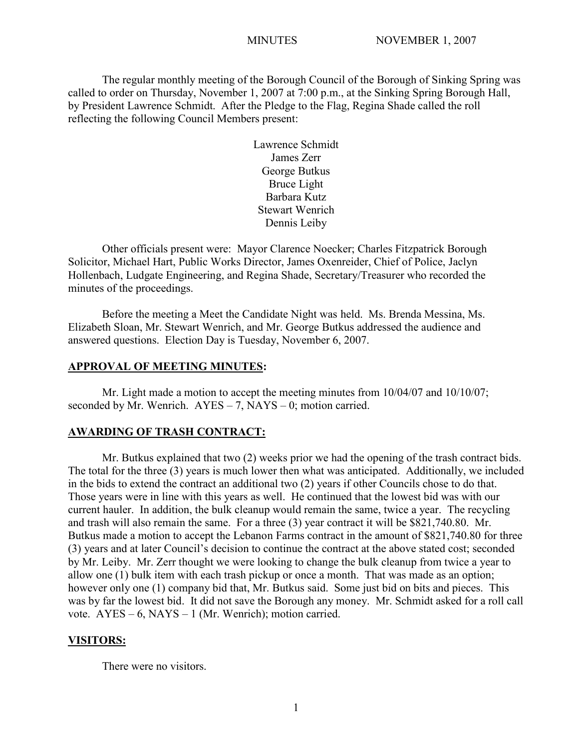The regular monthly meeting of the Borough Council of the Borough of Sinking Spring was called to order on Thursday, November 1, 2007 at 7:00 p.m., at the Sinking Spring Borough Hall, by President Lawrence Schmidt. After the Pledge to the Flag, Regina Shade called the roll reflecting the following Council Members present:

> Lawrence Schmidt James Zerr George Butkus Bruce Light Barbara Kutz Stewart Wenrich Dennis Leiby

Other officials present were: Mayor Clarence Noecker; Charles Fitzpatrick Borough Solicitor, Michael Hart, Public Works Director, James Oxenreider, Chief of Police, Jaclyn Hollenbach, Ludgate Engineering, and Regina Shade, Secretary/Treasurer who recorded the minutes of the proceedings.

Before the meeting a Meet the Candidate Night was held. Ms. Brenda Messina, Ms. Elizabeth Sloan, Mr. Stewart Wenrich, and Mr. George Butkus addressed the audience and answered questions. Election Day is Tuesday, November 6, 2007.

### **APPROVAL OF MEETING MINUTES:**

Mr. Light made a motion to accept the meeting minutes from  $10/04/07$  and  $10/10/07$ ; seconded by Mr. Wenrich.  $AYES - 7$ ,  $NAYS - 0$ ; motion carried.

### **AWARDING OF TRASH CONTRACT:**

Mr. Butkus explained that two (2) weeks prior we had the opening of the trash contract bids. The total for the three (3) years is much lower then what was anticipated. Additionally, we included in the bids to extend the contract an additional two (2) years if other Councils chose to do that. Those years were in line with this years as well. He continued that the lowest bid was with our current hauler. In addition, the bulk cleanup would remain the same, twice a year. The recycling and trash will also remain the same. For a three (3) year contract it will be \$821,740.80. Mr. Butkus made a motion to accept the Lebanon Farms contract in the amount of \$821,740.80 for three (3) years and at later Council's decision to continue the contract at the above stated cost; seconded by Mr. Leiby. Mr. Zerr thought we were looking to change the bulk cleanup from twice a year to allow one (1) bulk item with each trash pickup or once a month. That was made as an option; however only one (1) company bid that, Mr. Butkus said. Some just bid on bits and pieces. This was by far the lowest bid. It did not save the Borough any money. Mr. Schmidt asked for a roll call vote.  $AYES - 6$ ,  $NAYS - 1$  (Mr. Wenrich); motion carried.

### **VISITORS:**

There were no visitors.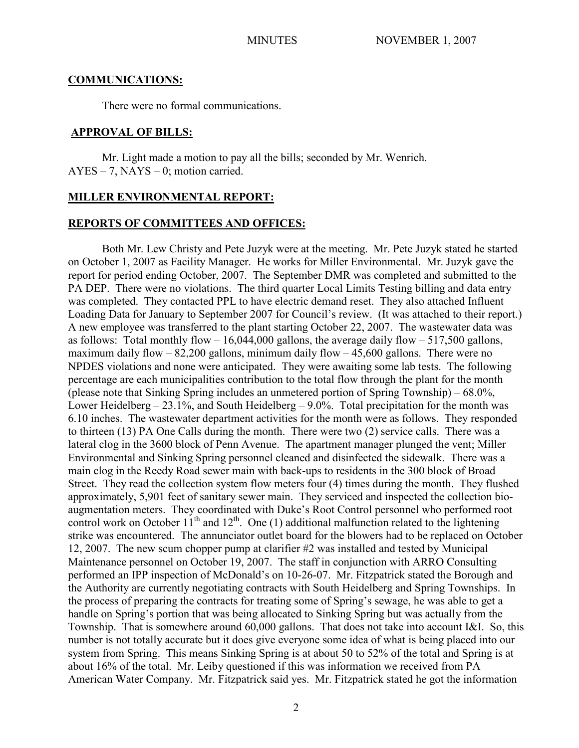### **COMMUNICATIONS:**

There were no formal communications.

### **APPROVAL OF BILLS:**

Mr. Light made a motion to pay all the bills; seconded by Mr. Wenrich.  $AYES - 7$ ,  $NAYS - 0$ ; motion carried.

### **MILLER ENVIRONMENTAL REPORT:**

### **REPORTS OF COMMITTEES AND OFFICES:**

Both Mr. Lew Christy and Pete Juzyk were at the meeting. Mr. Pete Juzyk stated he started on October 1, 2007 as Facility Manager. He works for Miller Environmental. Mr. Juzyk gave the report for period ending October, 2007. The September DMR was completed and submitted to the PA DEP. There were no violations. The third quarter Local Limits Testing billing and data entry was completed. They contacted PPL to have electric demand reset. They also attached Influent Loading Data for January to September 2007 for Council's review. (It was attached to their report.) A new employee was transferred to the plant starting October 22, 2007. The wastewater data was as follows: Total monthly flow  $-16,044,000$  gallons, the average daily flow  $-517,500$  gallons, maximum daily flow  $-82,200$  gallons, minimum daily flow  $-45,600$  gallons. There were no NPDES violations and none were anticipated. They were awaiting some lab tests. The following percentage are each municipalities contribution to the total flow through the plant for the month (please note that Sinking Spring includes an unmetered portion of Spring Township) – 68.0%, Lower Heidelberg  $- 23.1\%$ , and South Heidelberg  $- 9.0\%$ . Total precipitation for the month was 6.10 inches. The wastewater department activities for the month were as follows. They responded to thirteen (13) PA One Calls during the month. There were two (2) service calls. There was a lateral clog in the 3600 block of Penn Avenue. The apartment manager plunged the vent; Miller Environmental and Sinking Spring personnel cleaned and disinfected the sidewalk. There was a main clog in the Reedy Road sewer main with back-ups to residents in the 300 block of Broad Street. They read the collection system flow meters four (4) times during the month. They flushed approximately, 5,901 feet of sanitary sewer main. They serviced and inspected the collection bioaugmentation meters. They coordinated with Duke's Root Control personnel who performed root control work on October  $11^{th}$  and  $12^{th}$ . One (1) additional malfunction related to the lightening strike was encountered. The annunciator outlet board for the blowers had to be replaced on October 12, 2007. The new scum chopper pump at clarifier #2 was installed and tested by Municipal Maintenance personnel on October 19, 2007. The staff in conjunction with ARRO Consulting performed an IPP inspection of McDonald's on 10-26-07. Mr. Fitzpatrick stated the Borough and the Authority are currently negotiating contracts with South Heidelberg and Spring Townships. In the process of preparing the contracts for treating some of Spring's sewage, he was able to get a handle on Spring's portion that was being allocated to Sinking Spring but was actually from the Township. That is somewhere around 60,000 gallons. That does not take into account I&I. So, this number is not totally accurate but it does give everyone some idea of what is being placed into our system from Spring. This means Sinking Spring is at about 50 to 52% of the total and Spring is at about 16% of the total. Mr. Leiby questioned if this was information we received from PA American Water Company. Mr. Fitzpatrick said yes. Mr. Fitzpatrick stated he got the information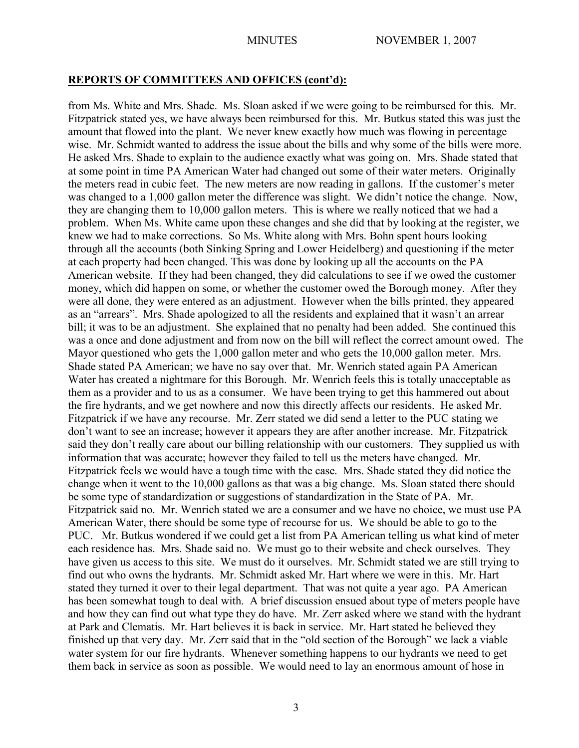### **REPORTS OF COMMITTEES AND OFFICES (cont'd):**

from Ms. White and Mrs. Shade. Ms. Sloan asked if we were going to be reimbursed for this. Mr. Fitzpatrick stated yes, we have always been reimbursed for this. Mr. Butkus stated this was just the amount that flowed into the plant. We never knew exactly how much was flowing in percentage wise. Mr. Schmidt wanted to address the issue about the bills and why some of the bills were more. He asked Mrs. Shade to explain to the audience exactly what was going on. Mrs. Shade stated that at some point in time PA American Water had changed out some of their water meters. Originally the meters read in cubic feet. The new meters are now reading in gallons. If the customer's meter was changed to a 1,000 gallon meter the difference was slight. We didn't notice the change. Now, they are changing them to 10,000 gallon meters. This is where we really noticed that we had a problem. When Ms. White came upon these changes and she did that by looking at the register, we knew we had to make corrections. So Ms. White along with Mrs. Bohn spent hours looking through all the accounts (both Sinking Spring and Lower Heidelberg) and questioning if the meter at each property had been changed. This was done by looking up all the accounts on the PA American website. If they had been changed, they did calculations to see if we owed the customer money, which did happen on some, or whether the customer owed the Borough money. After they were all done, they were entered as an adjustment. However when the bills printed, they appeared as an "arrears". Mrs. Shade apologized to all the residents and explained that it wasn't an arrear bill; it was to be an adjustment. She explained that no penalty had been added. She continued this was a once and done adjustment and from now on the bill will reflect the correct amount owed. The Mayor questioned who gets the 1,000 gallon meter and who gets the 10,000 gallon meter. Mrs. Shade stated PA American; we have no say over that. Mr. Wenrich stated again PA American Water has created a nightmare for this Borough. Mr. Wenrich feels this is totally unacceptable as them as a provider and to us as a consumer. We have been trying to get this hammered out about the fire hydrants, and we get nowhere and now this directly affects our residents. He asked Mr. Fitzpatrick if we have any recourse. Mr. Zerr stated we did send a letter to the PUC stating we don't want to see an increase; however it appears they are after another increase. Mr. Fitzpatrick said they don't really care about our billing relationship with our customers. They supplied us with information that was accurate; however they failed to tell us the meters have changed. Mr. Fitzpatrick feels we would have a tough time with the case. Mrs. Shade stated they did notice the change when it went to the 10,000 gallons as that was a big change. Ms. Sloan stated there should be some type of standardization or suggestions of standardization in the State of PA. Mr. Fitzpatrick said no. Mr. Wenrich stated we are a consumer and we have no choice, we must use PA American Water, there should be some type of recourse for us. We should be able to go to the PUC. Mr. Butkus wondered if we could get a list from PA American telling us what kind of meter each residence has. Mrs. Shade said no. We must go to their website and check ourselves. They have given us access to this site. We must do it ourselves. Mr. Schmidt stated we are still trying to find out who owns the hydrants. Mr. Schmidt asked Mr. Hart where we were in this. Mr. Hart stated they turned it over to their legal department. That was not quite a year ago. PA American has been somewhat tough to deal with. A brief discussion ensued about type of meters people have and how they can find out what type they do have. Mr. Zerr asked where we stand with the hydrant at Park and Clematis. Mr. Hart believes it is back in service. Mr. Hart stated he believed they finished up that very day. Mr. Zerr said that in the "old section of the Borough" we lack a viable water system for our fire hydrants. Whenever something happens to our hydrants we need to get them back in service as soon as possible. We would need to lay an enormous amount of hose in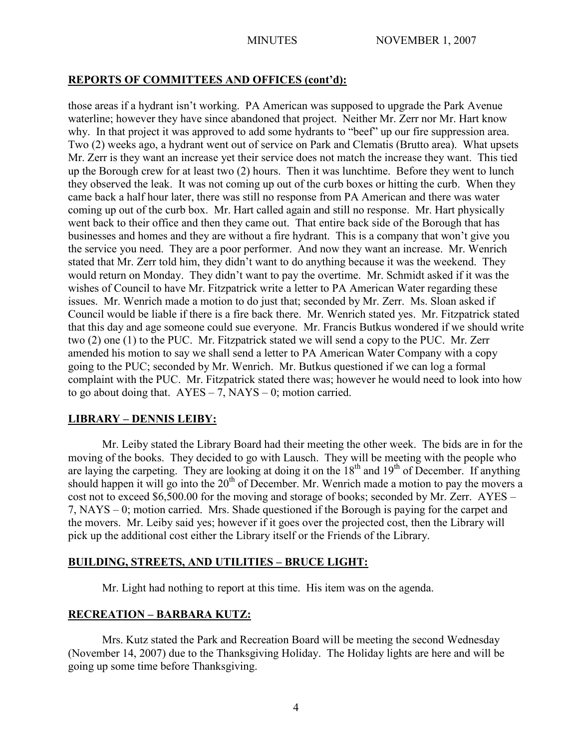# **REPORTS OF COMMITTEES AND OFFICES (cont'd):**

those areas if a hydrant isn't working. PA American was supposed to upgrade the Park Avenue waterline; however they have since abandoned that project. Neither Mr. Zerr nor Mr. Hart know why. In that project it was approved to add some hydrants to "beef" up our fire suppression area. Two (2) weeks ago, a hydrant went out of service on Park and Clematis (Brutto area). What upsets Mr. Zerr is they want an increase yet their service does not match the increase they want. This tied up the Borough crew for at least two (2) hours. Then it was lunchtime. Before they went to lunch they observed the leak. It was not coming up out of the curb boxes or hitting the curb. When they came back a half hour later, there was still no response from PA American and there was water coming up out of the curb box. Mr. Hart called again and still no response. Mr. Hart physically went back to their office and then they came out. That entire back side of the Borough that has businesses and homes and they are without a fire hydrant. This is a company that won't give you the service you need. They are a poor performer. And now they want an increase. Mr. Wenrich stated that Mr. Zerr told him, they didn't want to do anything because it was the weekend. They would return on Monday. They didn't want to pay the overtime. Mr. Schmidt asked if it was the wishes of Council to have Mr. Fitzpatrick write a letter to PA American Water regarding these issues. Mr. Wenrich made a motion to do just that; seconded by Mr. Zerr. Ms. Sloan asked if Council would be liable if there is a fire back there. Mr. Wenrich stated yes. Mr. Fitzpatrick stated that this day and age someone could sue everyone. Mr. Francis Butkus wondered if we should write two (2) one (1) to the PUC. Mr. Fitzpatrick stated we will send a copy to the PUC. Mr. Zerr amended his motion to say we shall send a letter to PA American Water Company with a copy going to the PUC; seconded by Mr. Wenrich. Mr. Butkus questioned if we can log a formal complaint with the PUC. Mr. Fitzpatrick stated there was; however he would need to look into how to go about doing that.  $AYES - 7$ ,  $NAYS - 0$ ; motion carried.

# **LIBRARY – DENNIS LEIBY:**

Mr. Leiby stated the Library Board had their meeting the other week. The bids are in for the moving of the books. They decided to go with Lausch. They will be meeting with the people who are laying the carpeting. They are looking at doing it on the 18<sup>th</sup> and 19<sup>th</sup> of December. If anything should happen it will go into the  $20<sup>th</sup>$  of December. Mr. Wenrich made a motion to pay the movers a cost not to exceed \$6,500.00 for the moving and storage of books; seconded by Mr. Zerr. AYES – 7, NAYS – 0; motion carried. Mrs. Shade questioned if the Borough is paying for the carpet and the movers. Mr. Leiby said yes; however if it goes over the projected cost, then the Library will pick up the additional cost either the Library itself or the Friends of the Library.

# **BUILDING, STREETS, AND UTILITIES – BRUCE LIGHT:**

Mr. Light had nothing to report at this time. His item was on the agenda.

# **RECREATION – BARBARA KUTZ:**

Mrs. Kutz stated the Park and Recreation Board will be meeting the second Wednesday (November 14, 2007) due to the Thanksgiving Holiday. The Holiday lights are here and will be going up some time before Thanksgiving.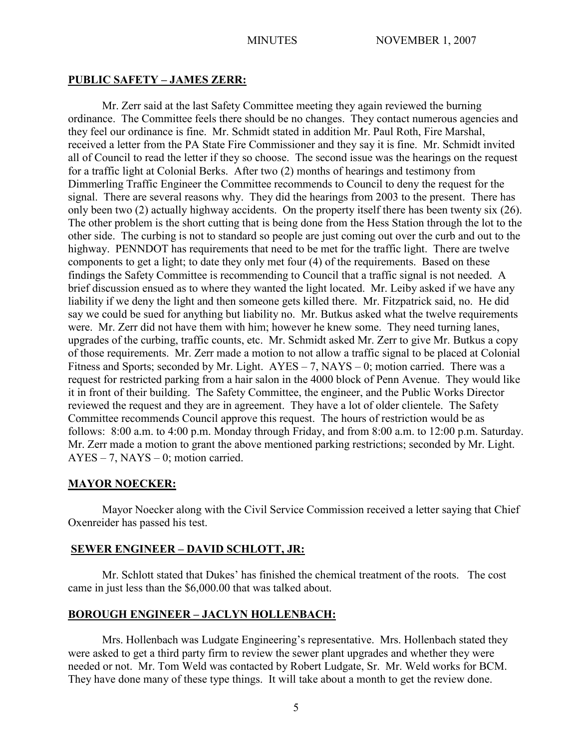### **PUBLIC SAFETY – JAMES ZERR:**

Mr. Zerr said at the last Safety Committee meeting they again reviewed the burning ordinance. The Committee feels there should be no changes. They contact numerous agencies and they feel our ordinance is fine. Mr. Schmidt stated in addition Mr. Paul Roth, Fire Marshal, received a letter from the PA State Fire Commissioner and they say it is fine. Mr. Schmidt invited all of Council to read the letter if they so choose. The second issue was the hearings on the request for a traffic light at Colonial Berks. After two (2) months of hearings and testimony from Dimmerling Traffic Engineer the Committee recommends to Council to deny the request for the signal. There are several reasons why. They did the hearings from 2003 to the present. There has only been two (2) actually highway accidents. On the property itself there has been twenty six (26). The other problem is the short cutting that is being done from the Hess Station through the lot to the other side. The curbing is not to standard so people are just coming out over the curb and out to the highway. PENNDOT has requirements that need to be met for the traffic light. There are twelve components to get a light; to date they only met four (4) of the requirements. Based on these findings the Safety Committee is recommending to Council that a traffic signal is not needed. A brief discussion ensued as to where they wanted the light located. Mr. Leiby asked if we have any liability if we deny the light and then someone gets killed there. Mr. Fitzpatrick said, no. He did say we could be sued for anything but liability no. Mr. Butkus asked what the twelve requirements were. Mr. Zerr did not have them with him; however he knew some. They need turning lanes, upgrades of the curbing, traffic counts, etc. Mr. Schmidt asked Mr. Zerr to give Mr. Butkus a copy of those requirements. Mr. Zerr made a motion to not allow a traffic signal to be placed at Colonial Fitness and Sports; seconded by Mr. Light.  $AYES - 7$ ,  $NAYS - 0$ ; motion carried. There was a request for restricted parking from a hair salon in the 4000 block of Penn Avenue. They would like it in front of their building. The Safety Committee, the engineer, and the Public Works Director reviewed the request and they are in agreement. They have a lot of older clientele. The Safety Committee recommends Council approve this request. The hours of restriction would be as follows: 8:00 a.m. to 4:00 p.m. Monday through Friday, and from 8:00 a.m. to 12:00 p.m. Saturday. Mr. Zerr made a motion to grant the above mentioned parking restrictions; seconded by Mr. Light.  $AYES - 7$ ,  $NAYS - 0$ ; motion carried.

# **MAYOR NOECKER:**

Mayor Noecker along with the Civil Service Commission received a letter saying that Chief Oxenreider has passed his test.

# **SEWER ENGINEER – DAVID SCHLOTT, JR:**

Mr. Schlott stated that Dukes' has finished the chemical treatment of the roots. The cost came in just less than the \$6,000.00 that was talked about.

# **BOROUGH ENGINEER – JACLYN HOLLENBACH:**

Mrs. Hollenbach was Ludgate Engineering's representative. Mrs. Hollenbach stated they were asked to get a third party firm to review the sewer plant upgrades and whether they were needed or not. Mr. Tom Weld was contacted by Robert Ludgate, Sr. Mr. Weld works for BCM. They have done many of these type things. It will take about a month to get the review done.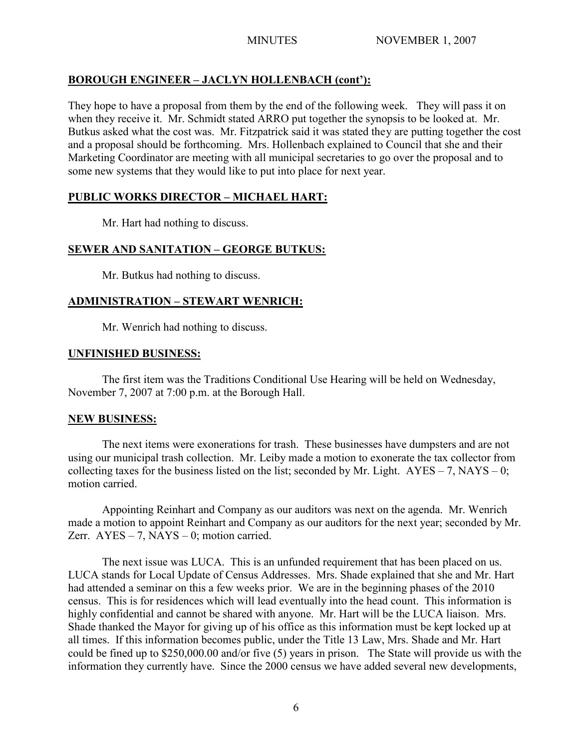# **BOROUGH ENGINEER – JACLYN HOLLENBACH (cont'):**

They hope to have a proposal from them by the end of the following week. They will pass it on when they receive it. Mr. Schmidt stated ARRO put together the synopsis to be looked at. Mr. Butkus asked what the cost was. Mr. Fitzpatrick said it was stated they are putting together the cost and a proposal should be forthcoming. Mrs. Hollenbach explained to Council that she and their Marketing Coordinator are meeting with all municipal secretaries to go over the proposal and to some new systems that they would like to put into place for next year.

# **PUBLIC WORKS DIRECTOR – MICHAEL HART:**

Mr. Hart had nothing to discuss.

# **SEWER AND SANITATION – GEORGE BUTKUS:**

Mr. Butkus had nothing to discuss.

# **ADMINISTRATION – STEWART WENRICH:**

Mr. Wenrich had nothing to discuss.

### **UNFINISHED BUSINESS:**

The first item was the Traditions Conditional Use Hearing will be held on Wednesday, November 7, 2007 at 7:00 p.m. at the Borough Hall.

# **NEW BUSINESS:**

The next items were exonerations for trash. These businesses have dumpsters and are not using our municipal trash collection. Mr. Leiby made a motion to exonerate the tax collector from collecting taxes for the business listed on the list; seconded by Mr. Light.  $AYES - 7$ ,  $NAYS - 0$ ; motion carried.

Appointing Reinhart and Company as our auditors was next on the agenda. Mr. Wenrich made a motion to appoint Reinhart and Company as our auditors for the next year; seconded by Mr. Zerr.  $AYES - 7$ ,  $NAYS - 0$ ; motion carried.

The next issue was LUCA. This is an unfunded requirement that has been placed on us. LUCA stands for Local Update of Census Addresses. Mrs. Shade explained that she and Mr. Hart had attended a seminar on this a few weeks prior. We are in the beginning phases of the 2010 census. This is for residences which will lead eventually into the head count. This information is highly confidential and cannot be shared with anyone. Mr. Hart will be the LUCA liaison. Mrs. Shade thanked the Mayor for giving up of his office as this information must be kept locked up at all times. If this information becomes public, under the Title 13 Law, Mrs. Shade and Mr. Hart could be fined up to \$250,000.00 and/or five (5) years in prison. The State will provide us with the information they currently have. Since the 2000 census we have added several new developments,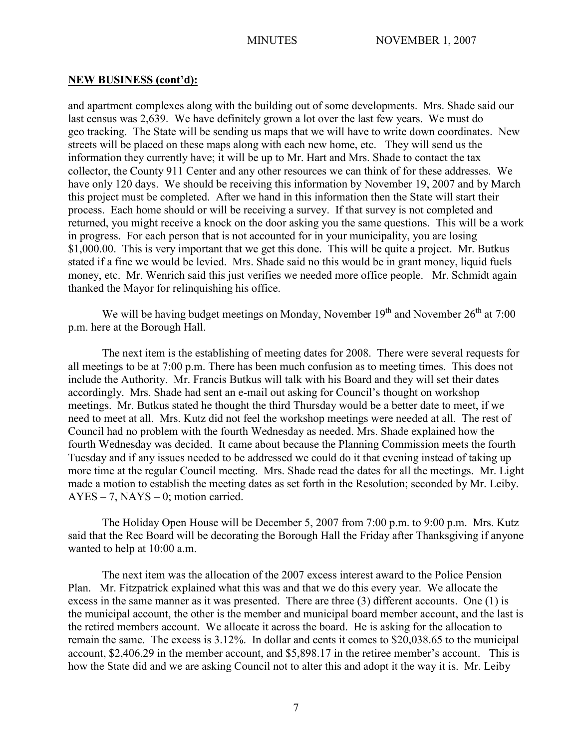### **NEW BUSINESS (cont'd):**

and apartment complexes along with the building out of some developments. Mrs. Shade said our last census was 2,639. We have definitely grown a lot over the last few years. We must do geo tracking. The State will be sending us maps that we will have to write down coordinates. New streets will be placed on these maps along with each new home, etc. They will send us the information they currently have; it will be up to Mr. Hart and Mrs. Shade to contact the tax collector, the County 911 Center and any other resources we can think of for these addresses. We have only 120 days. We should be receiving this information by November 19, 2007 and by March this project must be completed. After we hand in this information then the State will start their process. Each home should or will be receiving a survey. If that survey is not completed and returned, you might receive a knock on the door asking you the same questions. This will be a work in progress. For each person that is not accounted for in your municipality, you are losing \$1,000.00. This is very important that we get this done. This will be quite a project. Mr. Butkus stated if a fine we would be levied. Mrs. Shade said no this would be in grant money, liquid fuels money, etc. Mr. Wenrich said this just verifies we needed more office people. Mr. Schmidt again thanked the Mayor for relinquishing his office.

We will be having budget meetings on Monday, November  $19<sup>th</sup>$  and November  $26<sup>th</sup>$  at 7:00 p.m. here at the Borough Hall.

The next item is the establishing of meeting dates for 2008. There were several requests for all meetings to be at 7:00 p.m. There has been much confusion as to meeting times. This does not include the Authority. Mr. Francis Butkus will talk with his Board and they will set their dates accordingly. Mrs. Shade had sent an e-mail out asking for Council's thought on workshop meetings. Mr. Butkus stated he thought the third Thursday would be a better date to meet, if we need to meet at all. Mrs. Kutz did not feel the workshop meetings were needed at all. The rest of Council had no problem with the fourth Wednesday as needed. Mrs. Shade explained how the fourth Wednesday was decided. It came about because the Planning Commission meets the fourth Tuesday and if any issues needed to be addressed we could do it that evening instead of taking up more time at the regular Council meeting. Mrs. Shade read the dates for all the meetings. Mr. Light made a motion to establish the meeting dates as set forth in the Resolution; seconded by Mr. Leiby.  $AYES - 7$ ,  $NAYS - 0$ ; motion carried.

The Holiday Open House will be December 5, 2007 from 7:00 p.m. to 9:00 p.m. Mrs. Kutz said that the Rec Board will be decorating the Borough Hall the Friday after Thanksgiving if anyone wanted to help at 10:00 a.m.

The next item was the allocation of the 2007 excess interest award to the Police Pension Plan. Mr. Fitzpatrick explained what this was and that we do this every year. We allocate the excess in the same manner as it was presented. There are three (3) different accounts. One (1) is the municipal account, the other is the member and municipal board member account, and the last is the retired members account. We allocate it across the board. He is asking for the allocation to remain the same. The excess is 3.12%. In dollar and cents it comes to \$20,038.65 to the municipal account, \$2,406.29 in the member account, and \$5,898.17 in the retiree member's account. This is how the State did and we are asking Council not to alter this and adopt it the way it is. Mr. Leiby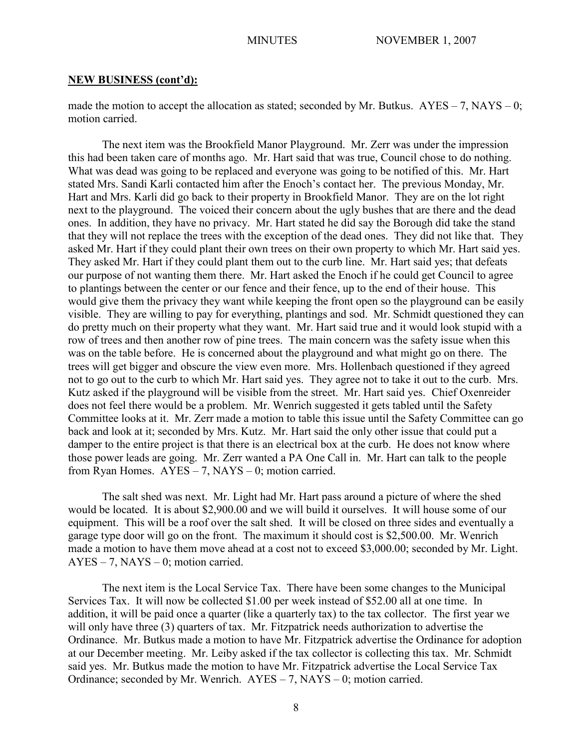### **NEW BUSINESS (cont'd):**

made the motion to accept the allocation as stated; seconded by Mr. Butkus.  $AYES - 7$ ,  $NAYS - 0$ ; motion carried.

The next item was the Brookfield Manor Playground. Mr. Zerr was under the impression this had been taken care of months ago. Mr. Hart said that was true, Council chose to do nothing. What was dead was going to be replaced and everyone was going to be notified of this. Mr. Hart stated Mrs. Sandi Karli contacted him after the Enoch's contact her. The previous Monday, Mr. Hart and Mrs. Karli did go back to their property in Brookfield Manor. They are on the lot right next to the playground. The voiced their concern about the ugly bushes that are there and the dead ones. In addition, they have no privacy. Mr. Hart stated he did say the Borough did take the stand that they will not replace the trees with the exception of the dead ones. They did not like that. They asked Mr. Hart if they could plant their own trees on their own property to which Mr. Hart said yes. They asked Mr. Hart if they could plant them out to the curb line. Mr. Hart said yes; that defeats our purpose of not wanting them there. Mr. Hart asked the Enoch if he could get Council to agree to plantings between the center or our fence and their fence, up to the end of their house. This would give them the privacy they want while keeping the front open so the playground can be easily visible. They are willing to pay for everything, plantings and sod. Mr. Schmidt questioned they can do pretty much on their property what they want. Mr. Hart said true and it would look stupid with a row of trees and then another row of pine trees. The main concern was the safety issue when this was on the table before. He is concerned about the playground and what might go on there. The trees will get bigger and obscure the view even more. Mrs. Hollenbach questioned if they agreed not to go out to the curb to which Mr. Hart said yes. They agree not to take it out to the curb. Mrs. Kutz asked if the playground will be visible from the street. Mr. Hart said yes. Chief Oxenreider does not feel there would be a problem. Mr. Wenrich suggested it gets tabled until the Safety Committee looks at it. Mr. Zerr made a motion to table this issue until the Safety Committee can go back and look at it; seconded by Mrs. Kutz. Mr. Hart said the only other issue that could put a damper to the entire project is that there is an electrical box at the curb. He does not know where those power leads are going. Mr. Zerr wanted a PA One Call in. Mr. Hart can talk to the people from Ryan Homes.  $AYES - 7$ ,  $NAYS - 0$ ; motion carried.

The salt shed was next. Mr. Light had Mr. Hart pass around a picture of where the shed would be located. It is about \$2,900.00 and we will build it ourselves. It will house some of our equipment. This will be a roof over the salt shed. It will be closed on three sides and eventually a garage type door will go on the front. The maximum it should cost is \$2,500.00. Mr. Wenrich made a motion to have them move ahead at a cost not to exceed \$3,000.00; seconded by Mr. Light. AYES – 7, NAYS – 0; motion carried.

The next item is the Local Service Tax. There have been some changes to the Municipal Services Tax. It will now be collected \$1.00 per week instead of \$52.00 all at one time. In addition, it will be paid once a quarter (like a quarterly tax) to the tax collector. The first year we will only have three (3) quarters of tax. Mr. Fitzpatrick needs authorization to advertise the Ordinance. Mr. Butkus made a motion to have Mr. Fitzpatrick advertise the Ordinance for adoption at our December meeting. Mr. Leiby asked if the tax collector is collecting this tax. Mr. Schmidt said yes. Mr. Butkus made the motion to have Mr. Fitzpatrick advertise the Local Service Tax Ordinance; seconded by Mr. Wenrich. AYES – 7, NAYS – 0; motion carried.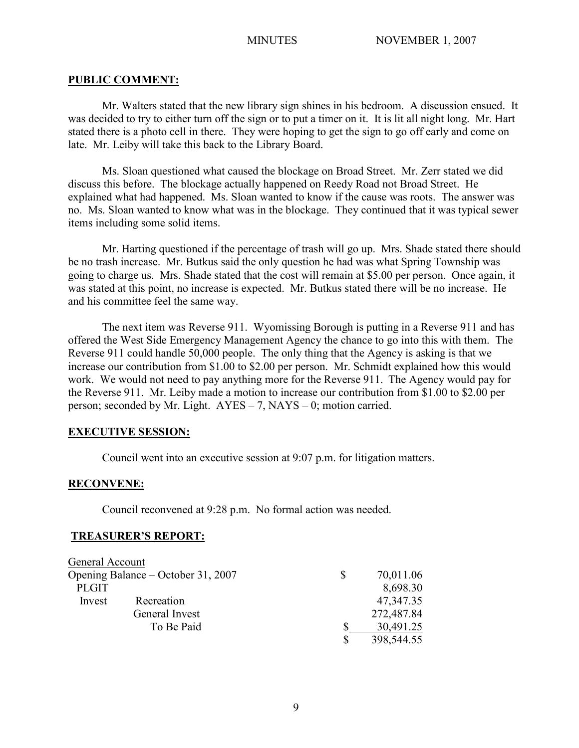### **PUBLIC COMMENT:**

Mr. Walters stated that the new library sign shines in his bedroom. A discussion ensued. It was decided to try to either turn off the sign or to put a timer on it. It is lit all night long. Mr. Hart stated there is a photo cell in there. They were hoping to get the sign to go off early and come on late. Mr. Leiby will take this back to the Library Board.

Ms. Sloan questioned what caused the blockage on Broad Street. Mr. Zerr stated we did discuss this before. The blockage actually happened on Reedy Road not Broad Street. He explained what had happened. Ms. Sloan wanted to know if the cause was roots. The answer was no. Ms. Sloan wanted to know what was in the blockage. They continued that it was typical sewer items including some solid items.

Mr. Harting questioned if the percentage of trash will go up. Mrs. Shade stated there should be no trash increase. Mr. Butkus said the only question he had was what Spring Township was going to charge us. Mrs. Shade stated that the cost will remain at \$5.00 per person. Once again, it was stated at this point, no increase is expected. Mr. Butkus stated there will be no increase. He and his committee feel the same way.

The next item was Reverse 911. Wyomissing Borough is putting in a Reverse 911 and has offered the West Side Emergency Management Agency the chance to go into this with them. The Reverse 911 could handle 50,000 people. The only thing that the Agency is asking is that we increase our contribution from \$1.00 to \$2.00 per person. Mr. Schmidt explained how this would work. We would not need to pay anything more for the Reverse 911. The Agency would pay for the Reverse 911. Mr. Leiby made a motion to increase our contribution from \$1.00 to \$2.00 per person; seconded by Mr. Light. AYES – 7, NAYS – 0; motion carried.

# **EXECUTIVE SESSION:**

Council went into an executive session at 9:07 p.m. for litigation matters.

# **RECONVENE:**

Council reconvened at 9:28 p.m. No formal action was needed.

### **TREASURER'S REPORT:**

| General Account                    |                |              |            |
|------------------------------------|----------------|--------------|------------|
| Opening Balance – October 31, 2007 |                | <sup>S</sup> | 70,011.06  |
| <b>PLGIT</b>                       |                |              | 8,698.30   |
| Invest                             | Recreation     |              | 47,347.35  |
|                                    | General Invest |              | 272,487.84 |
|                                    | To Be Paid     |              | 30,491.25  |
|                                    |                |              | 398,544.55 |